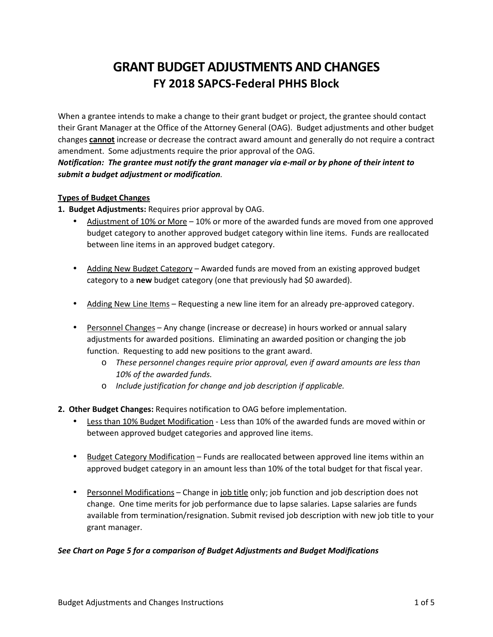# **GRANT BUDGET ADJUSTMENTS AND CHANGES FY 2018 SAPCS-Federal PHHS Block**

When a grantee intends to make a change to their grant budget or project, the grantee should contact their Grant Manager at the Office of the Attorney General (OAG). Budget adjustments and other budget changes **cannot** increase or decrease the contract award amount and generally do not require a contract amendment. Some adjustments require the prior approval of the OAG.

*Notification: The grantee must notify the grant manager via e-mail or by phone of their intent to submit a budget adjustment or modification.* 

# **Types of Budget Changes**

**1. Budget Adjustments:** Requires prior approval by OAG.

- Adjustment of 10% or More 10% or more of the awarded funds are moved from one approved budget category to another approved budget category within line items. Funds are reallocated between line items in an approved budget category.
- Adding New Budget Category Awarded funds are moved from an existing approved budget category to a **new** budget category (one that previously had \$0 awarded).
- Adding New Line Items Requesting a new line item for an already pre-approved category.
- Personnel Changes Any change (increase or decrease) in hours worked or annual salary adjustments for awarded positions. Eliminating an awarded position or changing the job function. Requesting to add new positions to the grant award.
	- o *These personnel changes require prior approval, even if award amounts are less than 10% of the awarded funds.*
	- o *Include justification for change and job description if applicable.*
- **2. Other Budget Changes:** Requires notification to OAG before implementation.
	- Less than 10% Budget Modification Less than 10% of the awarded funds are moved within or between approved budget categories and approved line items.
	- Budget Category Modification Funds are reallocated between approved line items within an approved budget category in an amount less than 10% of the total budget for that fiscal year.
	- Personnel Modifications Change in job title only; job function and job description does not change. One time merits for job performance due to lapse salaries. Lapse salaries are funds available from termination/resignation. Submit revised job description with new job title to your grant manager.

# *See Chart on Page 5 for a comparison of Budget Adjustments and Budget Modifications*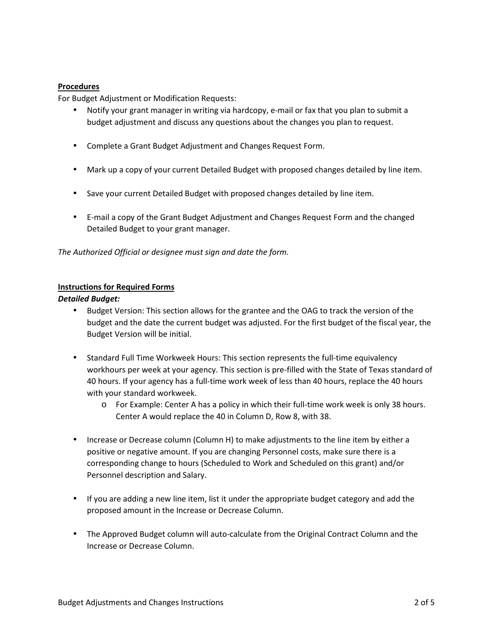#### **Procedures**

For Budget Adjustment or Modification Requests:

- Notify your grant manager in writing via hardcopy, e-mail or fax that you plan to submit a budget adjustment and discuss any questions about the changes you plan to request.
- Complete a Grant Budget Adjustment and Changes Request Form.
- Mark up a copy of your current Detailed Budget with proposed changes detailed by line item.
- Save your current Detailed Budget with proposed changes detailed by line item.
- E-mail a copy of the Grant Budget Adjustment and Changes Request Form and the changed Detailed Budget to your grant manager.

*The Authorized Official or designee must sign and date the form.* 

#### **Instructions for Required Forms**

#### *Detailed Budget:*

- Budget Version: This section allows for the grantee and the OAG to track the version of the budget and the date the current budget was adjusted. For the first budget of the fiscal year, the Budget Version will be initial.
- Standard Full Time Workweek Hours: This section represents the full-time equivalency workhours per week at your agency. This section is pre-filled with the State of Texas standard of 40 hours. If your agency has a full-time work week of less than 40 hours, replace the 40 hours with your standard workweek.
	- o For Example: Center A has a policy in which their full-time work week is only 38 hours. Center A would replace the 40 in Column D, Row 8, with 38.
- Increase or Decrease column (Column H) to make adjustments to the line item by either a positive or negative amount. If you are changing Personnel costs, make sure there is a corresponding change to hours (Scheduled to Work and Scheduled on this grant) and/or Personnel description and Salary.
- If you are adding a new line item, list it under the appropriate budget category and add the proposed amount in the Increase or Decrease Column.
- The Approved Budget column will auto-calculate from the Original Contract Column and the Increase or Decrease Column.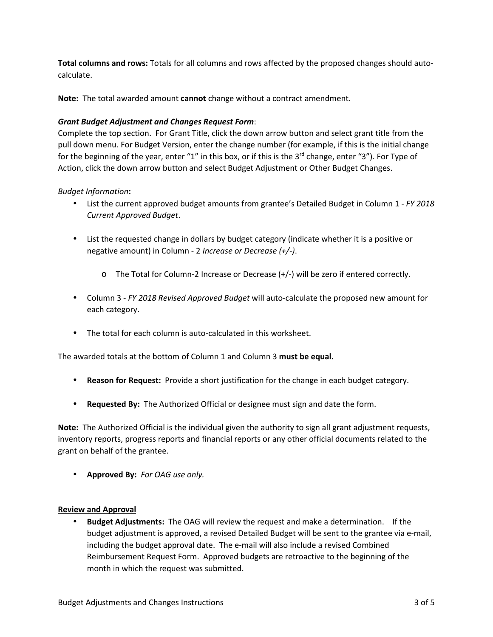**Total columns and rows:** Totals for all columns and rows affected by the proposed changes should autocalculate.

**Note:** The total awarded amount **cannot** change without a contract amendment.

### *Grant Budget Adjustment and Changes Request Form*:

Complete the top section. For Grant Title, click the down arrow button and select grant title from the pull down menu. For Budget Version, enter the change number (for example, if this is the initial change for the beginning of the year, enter "1" in this box, or if this is the  $3^{rd}$  change, enter "3"). For Type of Action, click the down arrow button and select Budget Adjustment or Other Budget Changes.

#### *Budget Information***:**

- List the current approved budget amounts from grantee's Detailed Budget in Column 1 *FY 2018 Current Approved Budget*.
- List the requested change in dollars by budget category (indicate whether it is a positive or negative amount) in Column - 2 *Increase or Decrease (+/-)*.
	- o The Total for Column-2 Increase or Decrease (+/-) will be zero if entered correctly.
- Column 3 *FY 2018 Revised Approved Budget* will auto-calculate the proposed new amount for each category.
- The total for each column is auto-calculated in this worksheet.

The awarded totals at the bottom of Column 1 and Column 3 **must be equal.** 

- **Reason for Request:** Provide a short justification for the change in each budget category.
- **Requested By:** The Authorized Official or designee must sign and date the form.

**Note:** The Authorized Official is the individual given the authority to sign all grant adjustment requests, inventory reports, progress reports and financial reports or any other official documents related to the grant on behalf of the grantee.

• **Approved By:** *For OAG use only.*

#### **Review and Approval**

• **Budget Adjustments:** The OAG will review the request and make a determination. If the budget adjustment is approved, a revised Detailed Budget will be sent to the grantee via e-mail, including the budget approval date. The e-mail will also include a revised Combined Reimbursement Request Form. Approved budgets are retroactive to the beginning of the month in which the request was submitted.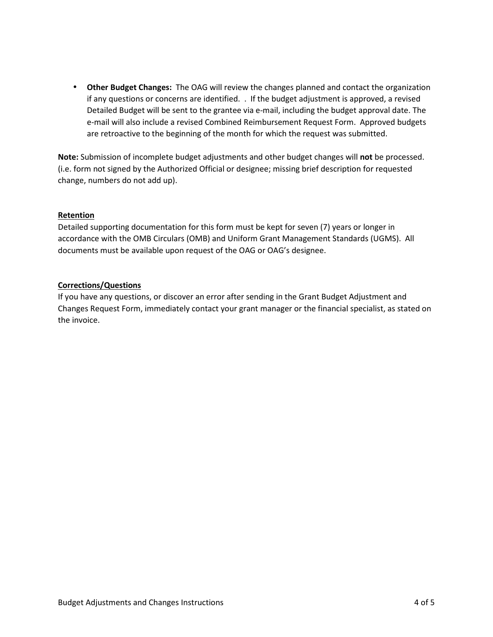• **Other Budget Changes:** The OAG will review the changes planned and contact the organization if any questions or concerns are identified. . If the budget adjustment is approved, a revised Detailed Budget will be sent to the grantee via e-mail, including the budget approval date. The e-mail will also include a revised Combined Reimbursement Request Form. Approved budgets are retroactive to the beginning of the month for which the request was submitted.

**Note:** Submission of incomplete budget adjustments and other budget changes will **not** be processed. (i.e. form not signed by the Authorized Official or designee; missing brief description for requested change, numbers do not add up).

#### **Retention**

Detailed supporting documentation for this form must be kept for seven (7) years or longer in accordance with the OMB Circulars (OMB) and Uniform Grant Management Standards (UGMS). All documents must be available upon request of the OAG or OAG's designee.

#### **Corrections/Questions**

If you have any questions, or discover an error after sending in the Grant Budget Adjustment and Changes Request Form, immediately contact your grant manager or the financial specialist, as stated on the invoice.